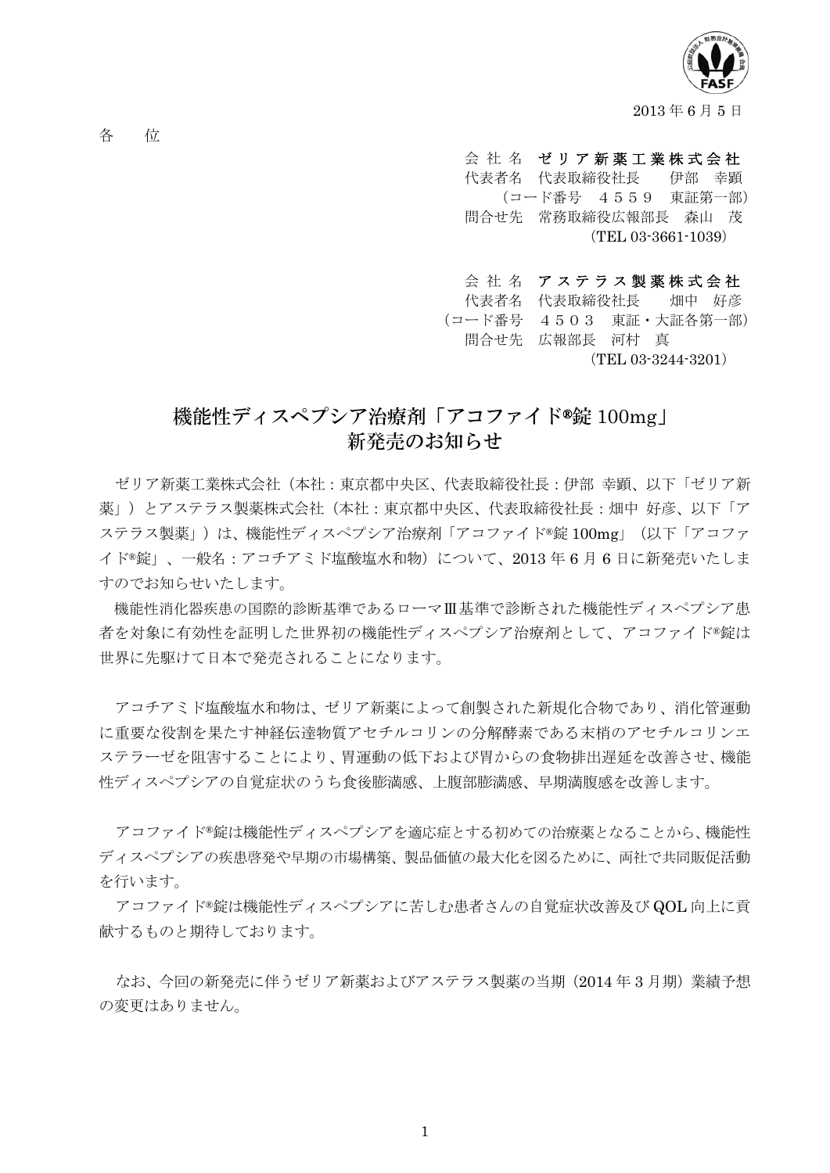

2013 年 6 月 5 日

各 位

- 会 社 名 ゼリア新薬工業株式会社
- 代表者名 代表取締役社長 伊部 幸顕 (コード番号 4559 東証第一部) 問合せ先 常務取締役広報部長 森山 茂 (TEL 03-3661-1039)
- 会社名 アステラス製薬株式会社

 代表者名 代表取締役社長 畑中 好彦 (コード番号 4503 東証・大証各第一部) 問合せ先 広報部長 河村 真

(TEL 03-3244-3201)

## 機能性ディスペプシア治療剤「アコファイド®錠 100mg」 新発売のお知らせ

ゼリア新薬工業株式会社(本社:東京都中央区、代表取締役社長:伊部 幸顕、以下「ゼリア新 薬」)とアステラス製薬株式会社(本社:東京都中央区、代表取締役社長:畑中 好彦、以下「ア ステラス製薬」)は、機能性ディスペプシア治療剤「アコファイド®錠 100mg」(以下「アコファ イド®錠」、一般名:アコチアミド塩酸塩水和物)について、2013 年 6 月 6 日に新発売いたしま すのでお知らせいたします。

機能性消化器疾患の国際的診断基準であるローマⅢ基準で診断された機能性ディスペプシア患 者を対象に有効性を証明した世界初の機能性ディスペプシア治療剤として、アコファイド®錠は 世界に先駆けて日本で発売されることになります。

アコチアミド塩酸塩水和物は、ゼリア新薬によって創製された新規化合物であり、消化管運動 に重要な役割を果たす神経伝達物質アセチルコリンの分解酵素である末梢のアセチルコリンエ ステラーゼを阻害することにより、胃運動の低下および胃からの食物排出遅延を改善させ、機能 性ディスペプシアの自覚症状のうち食後膨満感、上腹部膨満感、早期満腹感を改善します。

アコファイド®錠は機能性ディスペプシアを適応症とする初めての治療薬となることから、機能性 ディスペプシアの疾患啓発や早期の市場構築、製品価値の最大化を図るために、両社で共同販促活動 を行います。

アコファイド®錠は機能性ディスペプシアに苦しむ患者さんの自覚症状改善及び QOL 向上に貢 献するものと期待しております。

なお、今回の新発売に伴うゼリア新薬およびアステラス製薬の当期(2014 年 3 月期)業績予想 の変更はありません。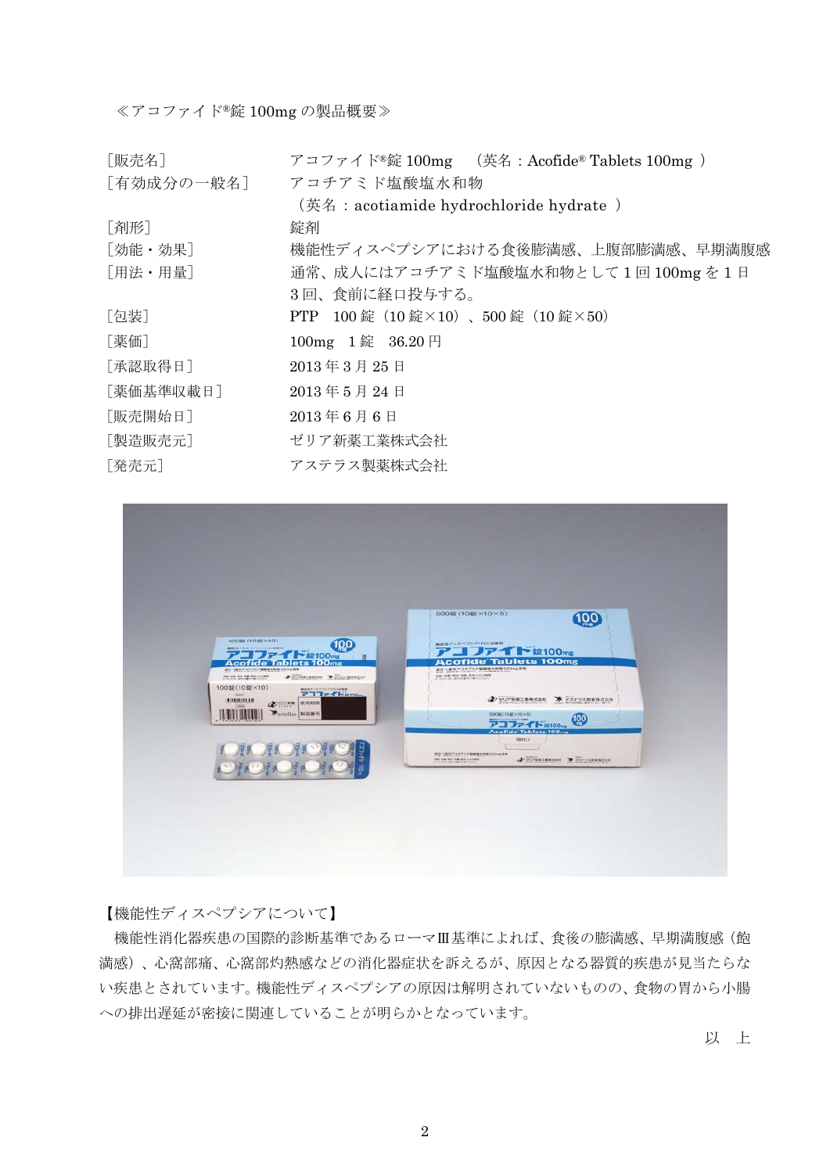### ≪アコファイド®錠 100mg の製品概要≫

| 「販売名]      | アコファイド®錠 100mg (英名: Acofide® Tablets 100mg ) |
|------------|----------------------------------------------|
| 「有効成分の一般名] | アコチアミド塩酸塩水和物                                 |
|            | (英名: acotiamide hydrochloride hydrate)       |
| 「剤形]       | 錠剤                                           |
| 「効能・効果]    | 機能性ディスペプシアにおける食後膨満感、上腹部膨満感、早期満腹感             |
| 「用法・用量]    | 通常、成人にはアコチアミド塩酸塩水和物として1回100mgを1日             |
|            | 3回、食前に経口投与する。                                |
| [包装]       | PTP 100 錠 (10 錠×10)、500 錠 (10 錠×50)          |
| [薬価]       | 100mg 1 錠 36.20円                             |
| [承認取得日]    | 2013年3月25日                                   |
| 「薬価基準収載日]  | 2013年5月24日                                   |
| [販売開始日]    | $2013$ 年6月6日                                 |
| 「製造販売元]    | ゼリア新薬工業株式会社                                  |
| [発売元]      | アステラス製薬株式会社                                  |



### 【機能性ディスペプシアについて】

機能性消化器疾患の国際的診断基準であるローマⅢ基準によれば、食後の膨満感、早期満腹感(飽 満感)、心窩部痛、心窩部灼熱感などの消化器症状を訴えるが、原因となる器質的疾患が見当たらな い疾患とされています。機能性ディスペプシアの原因は解明されていないものの、食物の胃から小腸 への排出遅延が密接に関連していることが明らかとなっています。

以 上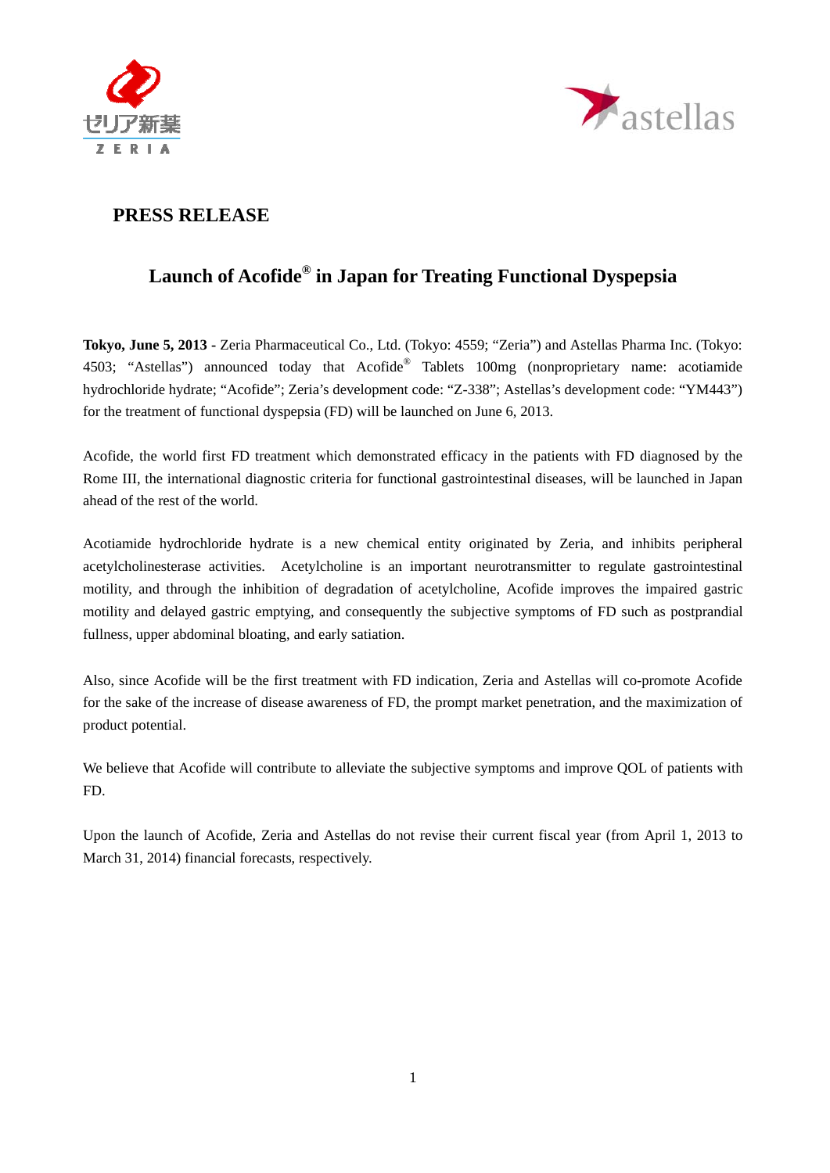



### **PRESS RELEASE**

# **Launch of Acofide® in Japan for Treating Functional Dyspepsia**

**Tokyo, June 5, 2013 -** Zeria Pharmaceutical Co., Ltd. (Tokyo: 4559; "Zeria") and Astellas Pharma Inc. (Tokyo: 4503; "Astellas") announced today that Acofide® Tablets 100mg (nonproprietary name: acotiamide hydrochloride hydrate; "Acofide"; Zeria's development code: "Z-338"; Astellas's development code: "YM443") for the treatment of functional dyspepsia (FD) will be launched on June 6, 2013.

Acofide, the world first FD treatment which demonstrated efficacy in the patients with FD diagnosed by the Rome III, the international diagnostic criteria for functional gastrointestinal diseases, will be launched in Japan ahead of the rest of the world.

Acotiamide hydrochloride hydrate is a new chemical entity originated by Zeria, and inhibits peripheral acetylcholinesterase activities. Acetylcholine is an important neurotransmitter to regulate gastrointestinal motility, and through the inhibition of degradation of acetylcholine, Acofide improves the impaired gastric motility and delayed gastric emptying, and consequently the subjective symptoms of FD such as postprandial fullness, upper abdominal bloating, and early satiation.

Also, since Acofide will be the first treatment with FD indication, Zeria and Astellas will co-promote Acofide for the sake of the increase of disease awareness of FD, the prompt market penetration, and the maximization of product potential.

We believe that Acofide will contribute to alleviate the subjective symptoms and improve QOL of patients with FD.

Upon the launch of Acofide, Zeria and Astellas do not revise their current fiscal year (from April 1, 2013 to March 31, 2014) financial forecasts, respectively.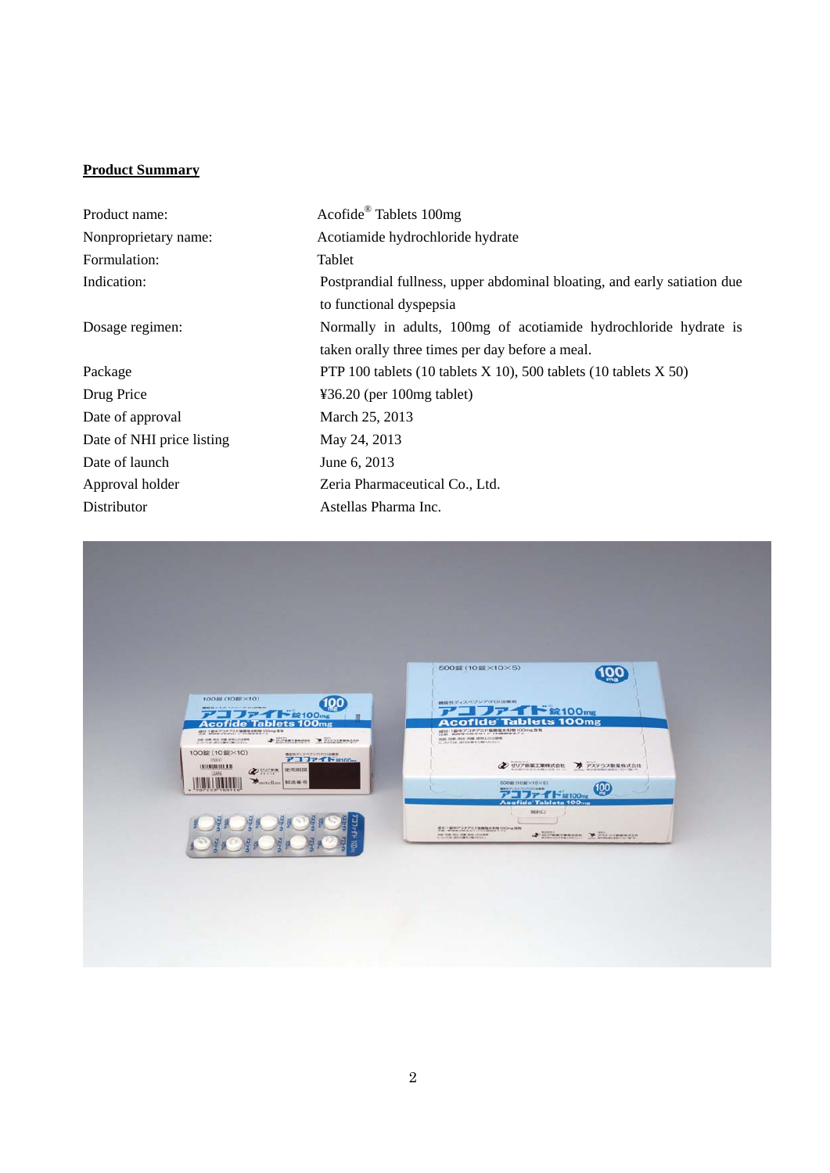#### **Product Summary**

| Product name:             | Acofide <sup>®</sup> Tablets 100mg                                       |
|---------------------------|--------------------------------------------------------------------------|
| Nonproprietary name:      | Acotiamide hydrochloride hydrate                                         |
| Formulation:              | Tablet                                                                   |
| Indication:               | Postprandial fullness, upper abdominal bloating, and early satiation due |
|                           | to functional dyspepsia                                                  |
| Dosage regimen:           | Normally in adults, 100mg of acotiamide hydrochloride hydrate is         |
|                           | taken orally three times per day before a meal.                          |
| Package                   | PTP 100 tablets (10 tablets $X$ 10), 500 tablets (10 tablets $X$ 50)     |
| Drug Price                | $436.20$ (per 100mg tablet)                                              |
| Date of approval          | March 25, 2013                                                           |
| Date of NHI price listing | May 24, 2013                                                             |
| Date of launch            | June 6, 2013                                                             |
| Approval holder           | Zeria Pharmaceutical Co., Ltd.                                           |
| Distributor               | Astellas Pharma Inc.                                                     |